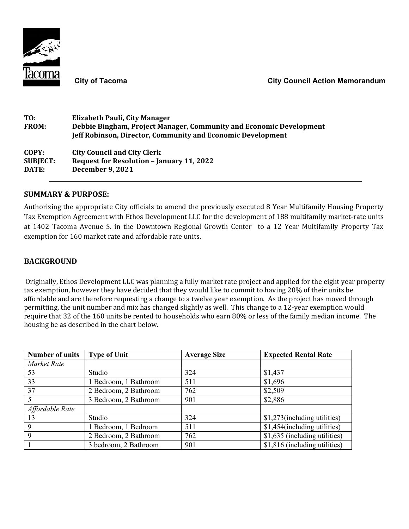

| T0:             | Elizabeth Pauli, City Manager                                       |
|-----------------|---------------------------------------------------------------------|
| <b>FROM:</b>    | Debbie Bingham, Project Manager, Community and Economic Development |
|                 | <b>Jeff Robinson, Director, Community and Economic Development</b>  |
| COPY:           | <b>City Council and City Clerk</b>                                  |
| <b>SUBJECT:</b> | <b>Request for Resolution - January 11, 2022</b>                    |
| <b>DATE:</b>    | <b>December 9, 2021</b>                                             |

## **SUMMARY & PURPOSE:**

Authorizing the appropriate City officials to amend the previously executed 8 Year Multifamily Housing Property Tax Exemption Agreement with Ethos Development LLC for the development of 188 multifamily market-rate units at 1402 Tacoma Avenue S. in the Downtown Regional Growth Center to a 12 Year Multifamily Property Tax exemption for 160 market rate and affordable rate units.

## **BACKGROUND**

Originally, Ethos Development LLC was planning a fully market rate project and applied for the eight year property tax exemption, however they have decided that they would like to commit to having 20% of their units be affordable and are therefore requesting a change to a twelve year exemption. As the project has moved through permitting, the unit number and mix has changed slightly as well. This change to a 12-year exemption would require that 32 of the 160 units be rented to households who earn 80% or less of the family median income. The housing be as described in the chart below.

| <b>Number of units</b> | <b>Type of Unit</b>   | <b>Average Size</b> | <b>Expected Rental Rate</b>   |
|------------------------|-----------------------|---------------------|-------------------------------|
| Market Rate            |                       |                     |                               |
| 53                     | Studio                | 324                 | \$1,437                       |
| 33                     | 1 Bedroom, 1 Bathroom | 511                 | \$1,696                       |
| 37                     | 2 Bedroom, 2 Bathroom | 762                 | \$2,509                       |
|                        | 3 Bedroom, 2 Bathroom | 901                 | \$2,886                       |
| Affordable Rate        |                       |                     |                               |
| 13                     | Studio                | 324                 | \$1,273(including utilities)  |
| 9                      | 1 Bedroom, 1 Bedroom  | 511                 | \$1,454(including utilities)  |
|                        | 2 Bedroom, 2 Bathroom | 762                 | \$1,635 (including utilities) |
|                        | 3 bedroom, 2 Bathroom | 901                 | \$1,816 (including utilities) |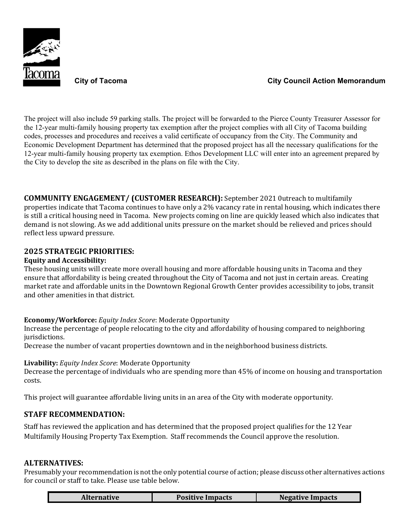

The project will also include 59 parking stalls. The project will be forwarded to the Pierce County Treasurer Assessor for the 12-year multi-family housing property tax exemption after the project complies with all City of Tacoma building codes, processes and procedures and receives a valid certificate of occupancy from the City. The Community and Economic Development Department has determined that the proposed project has all the necessary qualifications for the 12-year multi-family housing property tax exemption. Ethos Development LLC will enter into an agreement prepared by the City to develop the site as described in the plans on file with the City.

**COMMUNITY ENGAGEMENT/ (CUSTOMER RESEARCH):** September 2021 0utreach to multifamily properties indicate that Tacoma continues to have only a 2% vacancy rate in rental housing, which indicates there is still a critical housing need in Tacoma. New projects coming on line are quickly leased which also indicates that demand is not slowing. As we add additional units pressure on the market should be relieved and prices should reflect less upward pressure.

## **2025 STRATEGIC PRIORITIES:**

#### **Equity and Accessibility:**

These housing units will create more overall housing and more affordable housing units in Tacoma and they ensure that affordability is being created throughout the City of Tacoma and not just in certain areas. Creating market rate and affordable units in the Downtown Regional Growth Center provides accessibility to jobs, transit and other amenities in that district.

#### **Economy/Workforce:** *Equity Index Score*: Moderate Opportunity

Increase the percentage of people relocating to the city and affordability of housing compared to neighboring jurisdictions.

Decrease the number of vacant properties downtown and in the neighborhood business districts.

#### **Livability:** *Equity Index Score*: Moderate Opportunity

Decrease the percentage of individuals who are spending more than 45% of income on housing and transportation costs.

This project will guarantee affordable living units in an area of the City with moderate opportunity.

#### **STAFF RECOMMENDATION:**

Staff has reviewed the application and has determined that the proposed project qualifies for the 12 Year Multifamily Housing Property Tax Exemption. Staff recommends the Council approve the resolution.

#### **ALTERNATIVES:**

Presumably your recommendation is not the only potential course of action; please discuss other alternatives actions for council or staff to take. Please use table below.

| <b>Alternative</b> | <b>Positive Impacts</b> | <b>Negative Impacts</b> |
|--------------------|-------------------------|-------------------------|
|--------------------|-------------------------|-------------------------|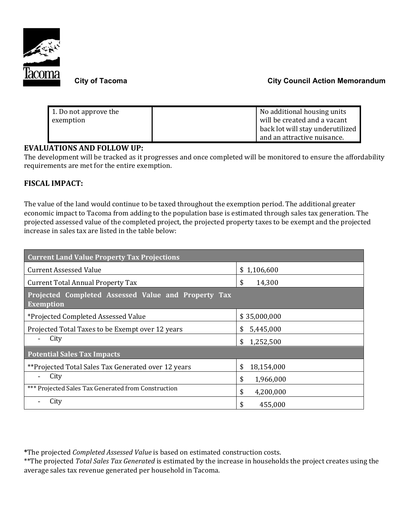

| 1. Do not approve the | No additional housing units      |
|-----------------------|----------------------------------|
| exemption             | will be created and a vacant     |
|                       | back lot will stay underutilized |
|                       | and an attractive nuisance.      |

## **EVALUATIONS AND FOLLOW UP:**

The development will be tracked as it progresses and once completed will be monitored to ensure the affordability requirements are met for the entire exemption.

# **FISCAL IMPACT:**

The value of the land would continue to be taxed throughout the exemption period. The additional greater economic impact to Tacoma from adding to the population base is estimated through sales tax generation. The projected assessed value of the completed project, the projected property taxes to be exempt and the projected increase in sales tax are listed in the table below:

| <b>Current Land Value Property Tax Projections</b>                      |                  |  |  |  |
|-------------------------------------------------------------------------|------------------|--|--|--|
| <b>Current Assessed Value</b>                                           | \$1,106,600      |  |  |  |
| <b>Current Total Annual Property Tax</b>                                | \$<br>14,300     |  |  |  |
| Projected Completed Assessed Value and Property Tax<br><b>Exemption</b> |                  |  |  |  |
| *Projected Completed Assessed Value                                     | \$35,000,000     |  |  |  |
| Projected Total Taxes to be Exempt over 12 years                        | 5,445,000<br>S   |  |  |  |
| City                                                                    | 1,252,500<br>\$  |  |  |  |
| <b>Potential Sales Tax Impacts</b>                                      |                  |  |  |  |
| **Projected Total Sales Tax Generated over 12 years                     | \$<br>18,154,000 |  |  |  |
| City                                                                    | \$<br>1,966,000  |  |  |  |
| *** Projected Sales Tax Generated from Construction                     | \$<br>4,200,000  |  |  |  |
| City                                                                    | \$<br>455,000    |  |  |  |

**\***The projected *Completed Assessed Value* is based on estimated construction costs.

\*\*The projected *Total Sales Tax Generated* is estimated by the increase in households the project creates using the average sales tax revenue generated per household in Tacoma.